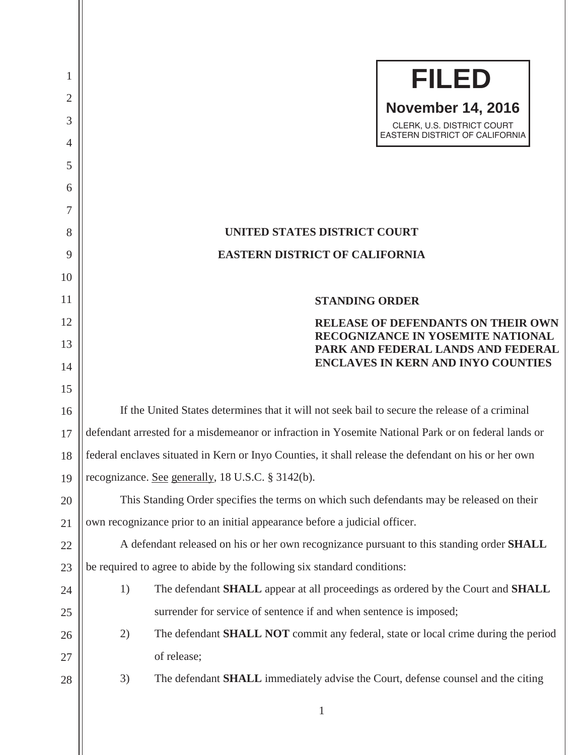| 1              | <b>FILED</b>                                                                                         |  |  |
|----------------|------------------------------------------------------------------------------------------------------|--|--|
| 2<br>3         | <b>November 14, 2016</b>                                                                             |  |  |
| $\overline{4}$ | CLERK, U.S. DISTRICT COURT<br>EASTERN DISTRICT OF CALIFORNIA                                         |  |  |
| 5              |                                                                                                      |  |  |
| 6              |                                                                                                      |  |  |
| 7              |                                                                                                      |  |  |
| 8              | <b>UNITED STATES DISTRICT COURT</b>                                                                  |  |  |
| 9              | <b>EASTERN DISTRICT OF CALIFORNIA</b>                                                                |  |  |
| 10             |                                                                                                      |  |  |
| 11             | <b>STANDING ORDER</b>                                                                                |  |  |
| 12             | <b>RELEASE OF DEFENDANTS ON THEIR OWN</b>                                                            |  |  |
| 13             | <b>RECOGNIZANCE IN YOSEMITE NATIONAL</b><br>PARK AND FEDERAL LANDS AND FEDERAL                       |  |  |
| 14             | <b>ENCLAVES IN KERN AND INYO COUNTIES</b>                                                            |  |  |
| 15             |                                                                                                      |  |  |
| 16             | If the United States determines that it will not seek bail to secure the release of a criminal       |  |  |
| 17             | defendant arrested for a misdemeanor or infraction in Yosemite National Park or on federal lands or  |  |  |
| 18             | federal enclaves situated in Kern or Inyo Counties, it shall release the defendant on his or her own |  |  |
| 19             | recognizance. See generally, 18 U.S.C. § 3142(b).                                                    |  |  |
| 20             | This Standing Order specifies the terms on which such defendants may be released on their            |  |  |
| 21             | own recognizance prior to an initial appearance before a judicial officer.                           |  |  |
| 22             | A defendant released on his or her own recognizance pursuant to this standing order SHALL            |  |  |
| 23             | be required to agree to abide by the following six standard conditions:                              |  |  |
| 24             | The defendant SHALL appear at all proceedings as ordered by the Court and SHALL<br>1)                |  |  |
| 25             | surrender for service of sentence if and when sentence is imposed;                                   |  |  |
| 26             | The defendant <b>SHALL NOT</b> commit any federal, state or local crime during the period<br>2)      |  |  |
| 27             | of release;                                                                                          |  |  |
| 28             | 3)<br>The defendant <b>SHALL</b> immediately advise the Court, defense counsel and the citing        |  |  |
|                |                                                                                                      |  |  |